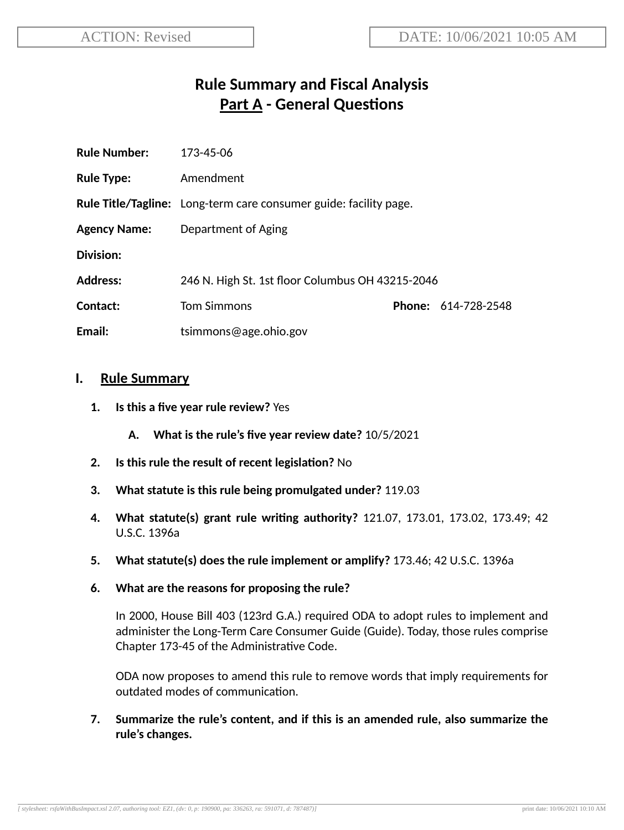# **Rule Summary and Fiscal Analysis Part A - General Questions**

| <b>Rule Number:</b> | 173-45-06                                                                |  |                            |
|---------------------|--------------------------------------------------------------------------|--|----------------------------|
| <b>Rule Type:</b>   | Amendment                                                                |  |                            |
|                     | <b>Rule Title/Tagline:</b> Long-term care consumer guide: facility page. |  |                            |
| <b>Agency Name:</b> | Department of Aging                                                      |  |                            |
| Division:           |                                                                          |  |                            |
| <b>Address:</b>     | 246 N. High St. 1st floor Columbus OH 43215-2046                         |  |                            |
| Contact:            | <b>Tom Simmons</b>                                                       |  | <b>Phone: 614-728-2548</b> |
| Email:              | tsimmons@age.ohio.gov                                                    |  |                            |

#### **I. Rule Summary**

- **1. Is this a five year rule review?** Yes
	- **A. What is the rule's five year review date?** 10/5/2021
- **2.** Is this rule the result of recent legislation? No
- **3. What statute is this rule being promulgated under?** 119.03
- **4. What statute(s) grant rule wring authority?** 121.07, 173.01, 173.02, 173.49; 42 U.S.C. 1396a
- **5. What statute(s) does the rule implement or amplify?** 173.46; 42 U.S.C. 1396a
- **6. What are the reasons for proposing the rule?**

In 2000, House Bill 403 (123rd G.A.) required ODA to adopt rules to implement and administer the Long-Term Care Consumer Guide (Guide). Today, those rules comprise Chapter 173-45 of the Administrative Code.

ODA now proposes to amend this rule to remove words that imply requirements for outdated modes of communication.

**7. Summarize the rule's content, and if this is an amended rule, also summarize the rule's changes.**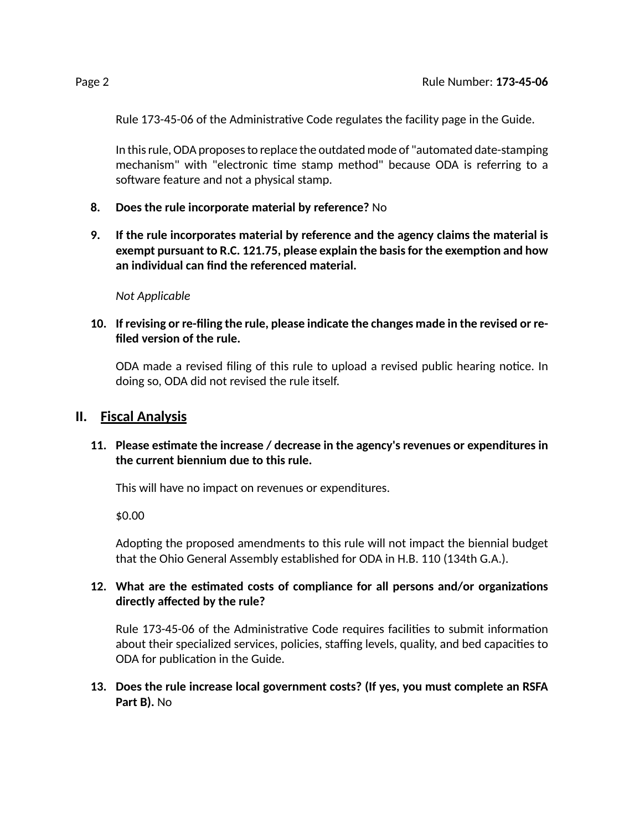Rule 173-45-06 of the Administrative Code regulates the facility page in the Guide.

In this rule, ODA proposes to replace the outdated mode of "automated date-stamping mechanism" with "electronic time stamp method" because ODA is referring to a software feature and not a physical stamp.

- **8. Does the rule incorporate material by reference?** No
- **9. If the rule incorporates material by reference and the agency claims the material is exempt pursuant to R.C. 121.75, please explain the basisfor the exempon and how an individual can find the referenced material.**

*Not Applicable*

**10. If revising or re-filing the rule, please indicate the changes made in the revised or refiled version of the rule.**

ODA made a revised filing of this rule to upload a revised public hearing notice. In doing so, ODA did not revised the rule itself.

#### **II. Fiscal Analysis**

#### **11. Please esmate the increase / decrease in the agency's revenues or expenditures in the current biennium due to this rule.**

This will have no impact on revenues or expenditures.

\$0.00

Adopting the proposed amendments to this rule will not impact the biennial budget that the Ohio General Assembly established for ODA in H.B. 110 (134th G.A.).

#### **12.** What are the estimated costs of compliance for all persons and/or organizations **directly affected by the rule?**

Rule 173-45-06 of the Administrative Code requires facilities to submit information about their specialized services, policies, staffing levels, quality, and bed capacities to ODA for publication in the Guide.

**13. Does the rule increase local government costs? (If yes, you must complete an RSFA Part B).** No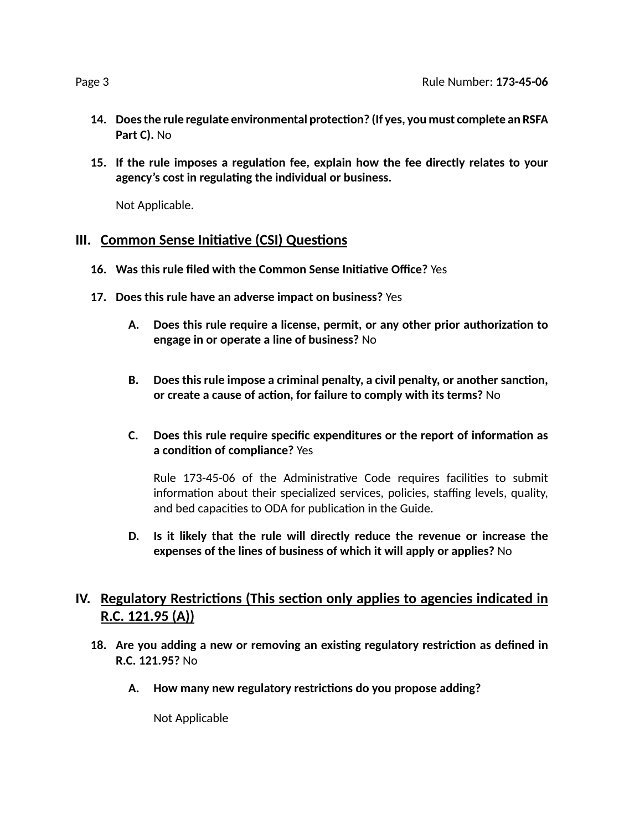- **14. Doesthe rule regulate environmental protecon? (If yes, you must complete an RSFA Part C).** No
- **15. If the rule imposes a regulaon fee, explain how the fee directly relates to your agency's cost in regulang the individual or business.**

Not Applicable.

### **III.** Common Sense Initiative (CSI) Questions

- **16. Was this rule filed with the Common Sense Iniave Office?** Yes
- **17. Does this rule have an adverse impact on business?** Yes
	- **A. Does this rule require a license, permit, or any other prior authorizaon to engage in or operate a line of business?** No
	- **B. Does this rule impose a criminal penalty, a civil penalty, or another sancon, or create a cause of acon, for failure to comply with its terms?** No
	- **C. Does this rule require specific expenditures or the report of informaon as a** condition of compliance? Yes

Rule 173-45-06 of the Administrative Code requires facilities to submit information about their specialized services, policies, staffing levels, quality, and bed capacities to ODA for publication in the Guide.

**D. Is it likely that the rule will directly reduce the revenue or increase the expenses of the lines of business of which it will apply or applies?** No

## **IV.** Regulatory Restrictions (This section only applies to agencies indicated in **R.C. 121.95 (A))**

- **18. Are you adding a new or removing an exisng regulatory restricon as defined in R.C. 121.95?** No
	- **A. How many new regulatory restricons do you propose adding?**

Not Applicable